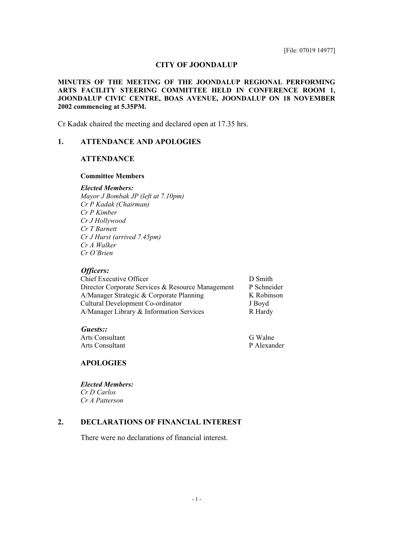## **CITY OF JOONDALUP**

#### **MINUTES OF THE MEETING OF THE JOONDALUP REGIONAL PERFORMING ARTS FACILITY STEERING COMMITTEE HELD IN CONFERENCE ROOM 1, JOONDALUP CIVIC CENTRE, BOAS AVENUE, JOONDALUP ON 18 NOVEMBER 2002 commencing at 5.35PM.**

Cr Kadak chaired the meeting and declared open at 17.35 hrs.

# **1. ATTENDANCE AND APOLOGIES**

## **ATTENDANCE**

#### **Committee Members**

#### *Elected Members:*

*Mayor J Bombak JP (left at 7.10pm) Cr P Kadak (Chairman) Cr P Kimber Cr J Hollywood Cr T Barnett Cr J Hurst (arrived 7.45pm) Cr A Walker Cr O'Brien* 

### *Officers:*

| <b>Chief Executive Officer</b>                    |  |
|---------------------------------------------------|--|
| Director Corporate Services & Resource Management |  |
| A/Manager Strategic & Corporate Planning          |  |
| Cultural Development Co-ordinator                 |  |
| A/Manager Library & Information Services          |  |

*Guests::* 

Arts Consultant G Walne Arts Consultant P Alexander

D Smith P Schneider K Robinson J Boyd R Hardy

## **APOLOGIES**

*Elected Members: Cr D Carlos Cr A Patterson* 

# **2. DECLARATIONS OF FINANCIAL INTEREST**

There were no declarations of financial interest.